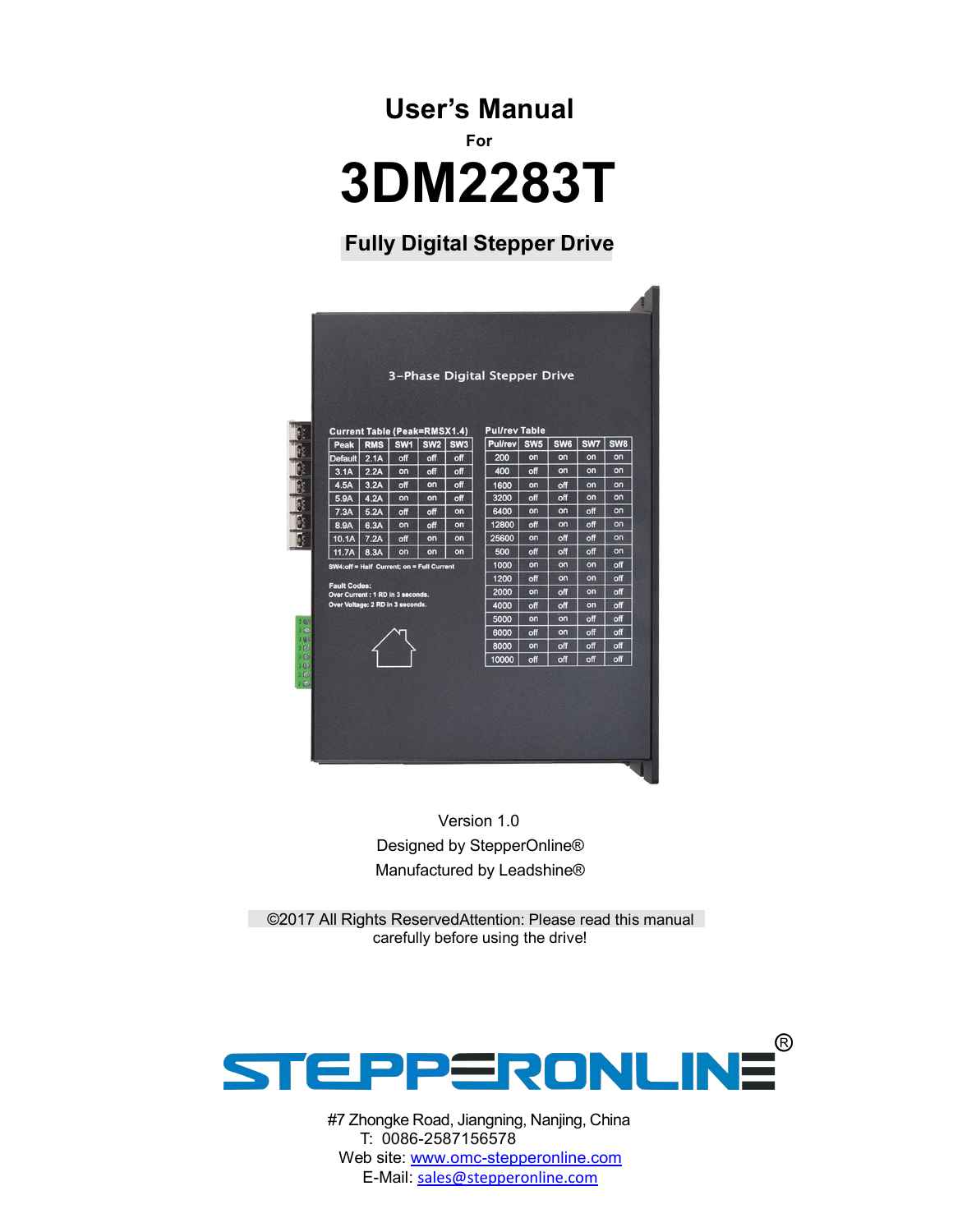**User's Manual For 3DM2283T**

## **Fully Digital Stepper Drive**

|                                           |            |                 |                 |                 | 3-Phase Digital Stepper Drive |     |                 |     |                 |
|-------------------------------------------|------------|-----------------|-----------------|-----------------|-------------------------------|-----|-----------------|-----|-----------------|
|                                           |            |                 |                 |                 |                               |     |                 |     |                 |
| <b>Current Table (Peak=RMSX1.4)</b>       |            |                 |                 |                 | <b>Pul/rev Table</b>          |     |                 |     |                 |
| Peak                                      | <b>RMS</b> | SW <sub>1</sub> | SW <sub>2</sub> | SW <sub>3</sub> | Pullrev SW5                   |     | SW <sub>6</sub> | SW7 | SW <sub>8</sub> |
| <b>Default</b>                            | 2.1A       | off             | off             | off             | 200                           | on  | on              | on  | on              |
| 3.1A                                      | 2.2A       | on              | off             | off             | 400                           | off | on              | on  | on              |
| 4.5A                                      | 3.2A       | off             | on              | off             | 1600                          | on  | off             | on  | on              |
| 5.9A                                      | 4.2A       | on              | on              | off             | 3200                          | off | off             | on  | on              |
| 7.3A                                      | 5.2A       | off             | off             | on              | 6400                          | on  | on              | off | on              |
| 8.9A                                      | 6.3A       | on              | off             | on              | 12800                         | off | on              | off | on              |
| 10.1A                                     | 7.2A       | off             | on              | on              | 25600                         | on  | off             | off | on              |
| 11.7A                                     | 8.3A       | on              | on              | on              | 500                           | off | off             | off | on              |
| SW4:off = Half Current; on = Full Current |            |                 |                 |                 | 1000                          | on  | on              | on  | off             |
| <b>Fault Codes:</b>                       |            |                 |                 |                 | 1200                          | off | on              | on  | off             |
| Over Current : 1 RD in 3 seconds.         |            |                 |                 |                 | 2000                          | on  | off             | on  | off             |
| Over Voltage: 2 RD in 3 seconds.          |            |                 |                 |                 | 4000                          | off | off             | on  | off             |
|                                           |            |                 |                 |                 | 5000                          | on  | on              | off | off             |
|                                           |            |                 |                 |                 | 6000                          | off | on              | off | off             |
|                                           |            |                 |                 |                 | 8000                          | on  | off             | off | off             |
|                                           |            |                 |                 |                 | 10000                         | off | off             | off | off             |

Version 1.0 Designed by StepperOnline® Manufactured by Leadshine®

©2017 All Rights ReservedAttention: Please read this manual carefully before using the drive!



#7 Zhongke Road, Jiangning, Nanjing, China T: 0086-2587156578 Web site: [www.omc-stepperonline.com](http://www.leadshine.com/) E-Mail: [sales@stepperonline.com](mailto:sales@stepperonline.com)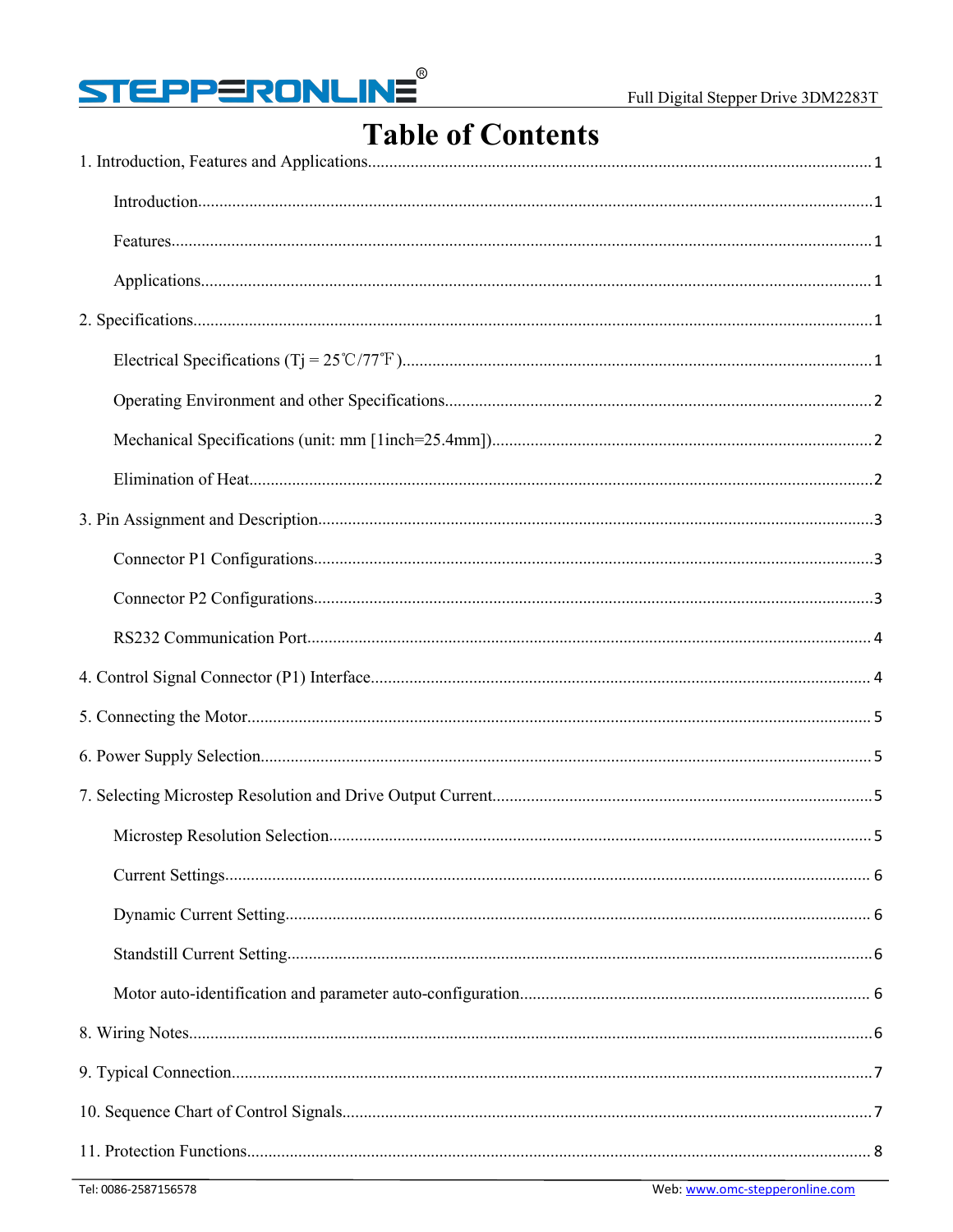

## **Table of Contents**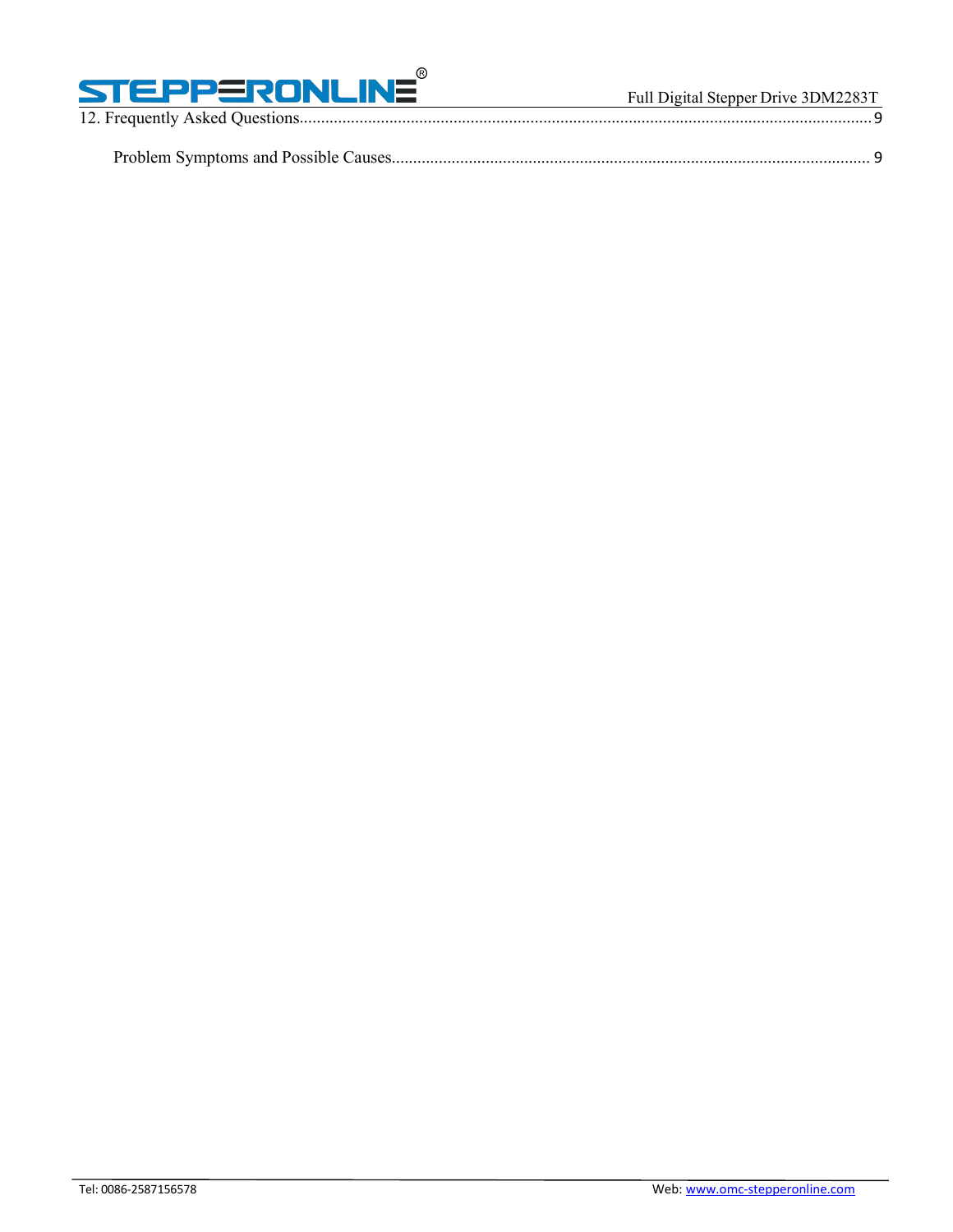

12. Frequently Asked [Questions......................................................................................................................................](#page-11-0)9 Problem Symptoms and Possible [Causes................................................................................................................](#page-11-1) 9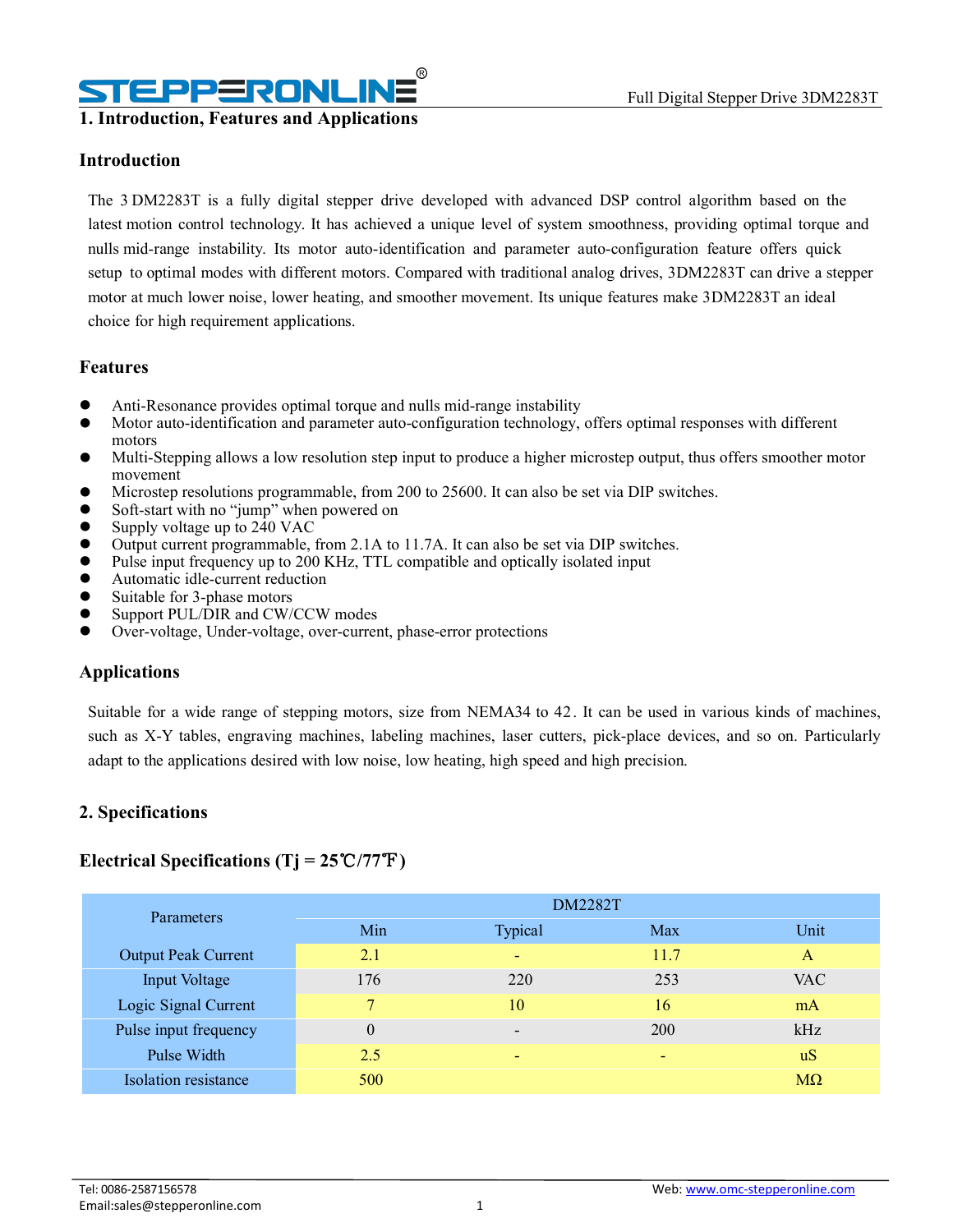## PPERONL

### <span id="page-3-0"></span>**1. Introduction, Features and Applications**

### <span id="page-3-1"></span>**Introduction**

The 3 DM2283T is a fully digital stepper drive developed with advanced DSP control algorithm based on the latest motion control technology. It has achieved a unique level of system smoothness, providing optimal torque and nulls mid-range instability. Its motor auto-identification and parameter auto-configuration feature offers quick setup to optimal modes with different motors. Compared with traditional analog drives, 3DM2283T can drive a stepper motor atmuch lower noise, lower heating, and smoother movement. Its unique features make 3DM2283T an ideal choice for high requirement applications.

#### <span id="page-3-2"></span>**Features**

- Anti-Resonance provides optimal torque and nulls mid-range instability
- Motor auto-identification and parameter auto-configuration technology, offers optimal responses with different motors
- Multi-Stepping allows a low resolution step inputto produce a higher microstep output, thus offers smoother motor movement
- Microstep resolutions programmable, from 200 to 25600. It can also be set via DIP switches.
- Soft-start with no "jump" when powered on
- Supply voltage up to 240 VAC
- $\bullet$  Output current programmable, from 2.1A to 11.7A. It can also be set via DIP switches.
- Pulse input frequency up to 200 KHz, TTL compatible and optically isolated input
- Automatic idle-current reduction
- Suitable for 3-phase motors
- Support PUL/DIR and CW/CCW modes<br>• Over-voltage Under-voltage over-current
- Over-voltage, Under-voltage, over-current, phase-error protections

### <span id="page-3-3"></span>**Applications**

Suitable for a wide range of stepping motors, size from NEMA34 to 42. It can be used in various kinds of machines, such as X-Y tables, engraving machines, labeling machines, laser cutters, pick-place devices, and so on. Particularly adapt to the applications desired with low noise, low heating, high speed and high precision.

### <span id="page-3-4"></span>**2. Specifications**

#### <span id="page-3-5"></span>**Electrical Specifications (Tj = 25**℃**/77**℉**)**

| Parameters                 | <b>DM2282T</b>   |                          |        |                |  |  |
|----------------------------|------------------|--------------------------|--------|----------------|--|--|
|                            | Min              | Typical                  | Max    | Unit           |  |  |
| <b>Output Peak Current</b> | 2.1              | $\overline{\phantom{a}}$ | 11.7   | A              |  |  |
| Input Voltage              | 176              | 220                      | 253    | <b>VAC</b>     |  |  |
| Logic Signal Current       | $\mathbf{r}$     | 10                       | 16     | mA             |  |  |
| Pulse input frequency      | $\boldsymbol{0}$ | $\overline{\phantom{a}}$ | 200    | kHz            |  |  |
| Pulse Width                | 2.5              | $\sim$                   | $\sim$ | u <sub>S</sub> |  |  |
| Isolation resistance       | 500              |                          |        | $M\Omega$      |  |  |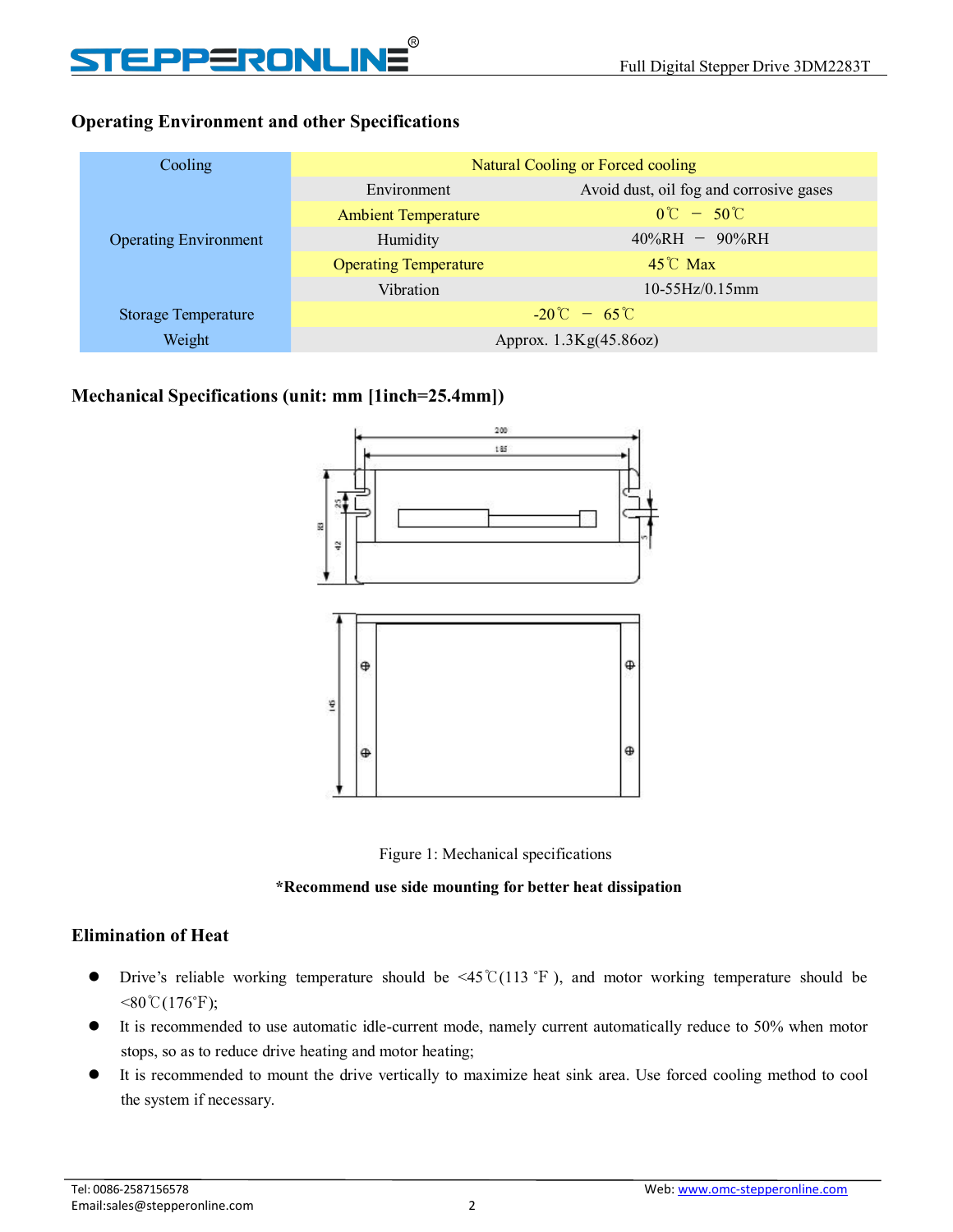# EPPERONLINE

## <span id="page-4-0"></span>**Operating Environment and other Specifications**

| Cooling<br>Natural Cooling or Forced cooling                    |
|-----------------------------------------------------------------|
| Avoid dust, oil fog and corrosive gases<br>Environment          |
| $0^{\circ}C - 50^{\circ}C$<br><b>Ambient Temperature</b>        |
| $40\%RH - 90\%RH$<br>Humidity<br><b>Operating Environment</b>   |
| $45^{\circ}$ C Max<br><b>Operating Temperature</b>              |
| $10-55Hz/0.15mm$<br>Vibration                                   |
| $-20^{\circ}$ C – 65 $^{\circ}$ C<br><b>Storage Temperature</b> |
| Weight<br>Approx. 1.3Kg(45.86oz)                                |

### <span id="page-4-1"></span>**Mechanical Specifications (unit: mm [1inch=25.4mm])**





#### **\*Recommend use side mounting for better heatdissipation**

### <span id="page-4-2"></span>**Elimination of Heat**

- Drive's reliable working temperature should be <45℃(113 ℉ ), and motor working temperature should be  $< 80\degree C(176\degree F);$
- It is recommended to use automatic idle-current mode, namely current automatically reduce to 50% when motor stops, so as to reduce drive heating and motor heating;
- It is recommended to mount the drive vertically to maximize heat sink area. Use forced cooling method to cool the system if necessary.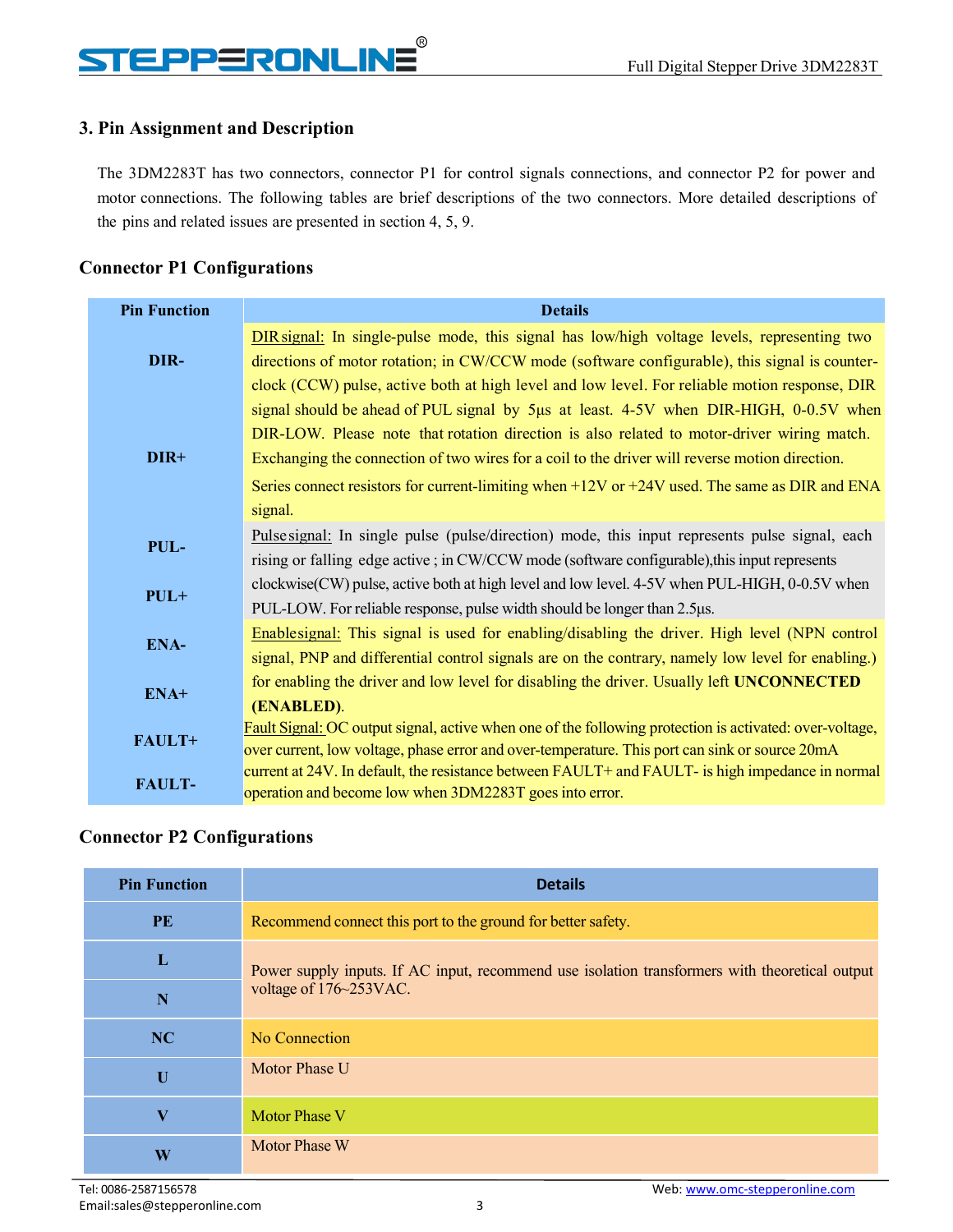## **STEPPERONLINE**

## <span id="page-5-0"></span>**3. Pin Assignment and Description**

The 3DM2283T has two connectors, connector P1 for control signals connections, and connector P2 for power and motor connections. The following tables are brief descriptions of the two connectors. More detailed descriptions of the pins and related issues are presented in section 4, 5, 9.

## <span id="page-5-1"></span>**Connector P1 Configurations**

| <b>Pin Function</b> | <b>Details</b>                                                                                          |
|---------------------|---------------------------------------------------------------------------------------------------------|
|                     | DIR signal: In single-pulse mode, this signal has low/high voltage levels, representing two             |
| DIR-                | directions of motor rotation; in CW/CCW mode (software configurable), this signal is counter-           |
|                     | clock (CCW) pulse, active both at high level and low level. For reliable motion response, DIR           |
|                     | signal should be ahead of PUL signal by 5µs at least. 4-5V when DIR-HIGH, 0-0.5V when                   |
|                     | DIR-LOW. Please note that rotation direction is also related to motor-driver wiring match.              |
| DIR+                | Exchanging the connection of two wires for a coil to the driver will reverse motion direction.          |
|                     | Series connect resistors for current-limiting when $+12V$ or $+24V$ used. The same as DIR and ENA       |
|                     | signal.                                                                                                 |
|                     | Pulse signal: In single pulse (pulse/direction) mode, this input represents pulse signal, each          |
| PUL-                | rising or falling edge active; in CW/CCW mode (software configurable), this input represents            |
|                     | $clockwise(CW)$ pulse, active both at high level and low level. 4-5V when PUL-HIGH, 0-0.5V when         |
| $PUL+$              | PUL-LOW. For reliable response, pulse width should be longer than 2.5µs.                                |
|                     | Enablesignal: This signal is used for enabling/disabling the driver. High level (NPN control            |
| ENA-                | signal, PNP and differential control signals are on the contrary, namely low level for enabling.)       |
|                     | for enabling the driver and low level for disabling the driver. Usually left UNCONNECTED                |
| ENA+                | (ENABLED).                                                                                              |
| FAULT+              | Fault Signal: OC output signal, active when one of the following protection is activated: over-voltage, |
|                     | over current, low voltage, phase error and over-temperature. This port can sink or source 20mA          |
| <b>FAULT-</b>       | current at 24V. In default, the resistance between FAULT+ and FAULT- is high impedance in normal        |
|                     | operation and become low when 3DM2283T goes into error.                                                 |

### <span id="page-5-2"></span>**Connector P2 Configurations**

| <b>Pin Function</b> | <b>Details</b>                                                                                 |  |
|---------------------|------------------------------------------------------------------------------------------------|--|
| PE                  | Recommend connect this port to the ground for better safety.                                   |  |
| L                   | Power supply inputs. If AC input, recommend use isolation transformers with theoretical output |  |
| $\mathbf N$         | voltage of 176~253VAC.                                                                         |  |
| NC                  | No Connection                                                                                  |  |
| $\mathbf U$         | Motor Phase U                                                                                  |  |
| $\bf{V}$            | Motor Phase V                                                                                  |  |
| W                   | <b>Motor Phase W</b>                                                                           |  |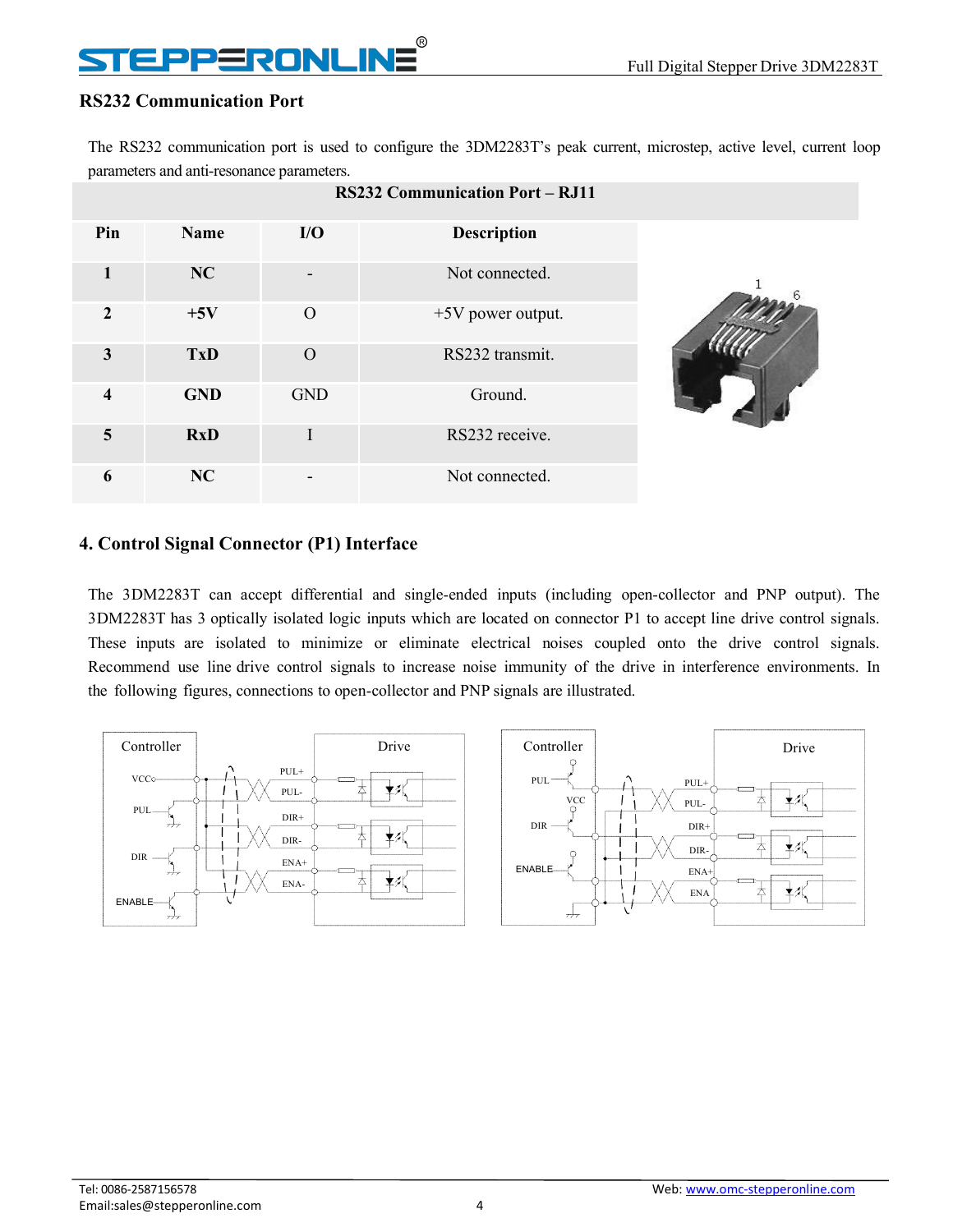## EPPERONLINE

### <span id="page-6-0"></span>**RS232 Communication Port**

The RS232 communication port is used to configure the 3DM2283T's peak current, microstep, active level, current loop parameters and anti-resonance parameters.

|                         |             |            | <b>RS232 Communication Port – RJ11</b> |  |
|-------------------------|-------------|------------|----------------------------------------|--|
| Pin                     | <b>Name</b> | I/O        | <b>Description</b>                     |  |
| 1                       | NC          |            | Not connected.                         |  |
| $\mathbf{2}$            | $+5V$       | $\Omega$   | $+5V$ power output.                    |  |
| $\mathbf{3}$            | <b>TxD</b>  | $\Omega$   | RS232 transmit.                        |  |
| $\overline{\mathbf{4}}$ | <b>GND</b>  | <b>GND</b> | Ground.                                |  |
| 5                       | <b>RxD</b>  | I          | RS232 receive.                         |  |
| 6                       | NC          |            | Not connected.                         |  |

### <span id="page-6-1"></span>**4. Control Signal Connector (P1) Interface**

The 3DM2283T can accept differential and single-ended inputs (including open-collector and PNP output). The 3DM2283T has 3 optically isolated logic inputs which are located on connector P1 to accept line drive controlsignals. These inputs are isolated to minimize or eliminate electrical noises coupled onto the drive control signals. Recommend use line drive control signals to increase noise immunity of the drive in interference environments. In the following figures, connections to open-collector and PNP signals are illustrated.

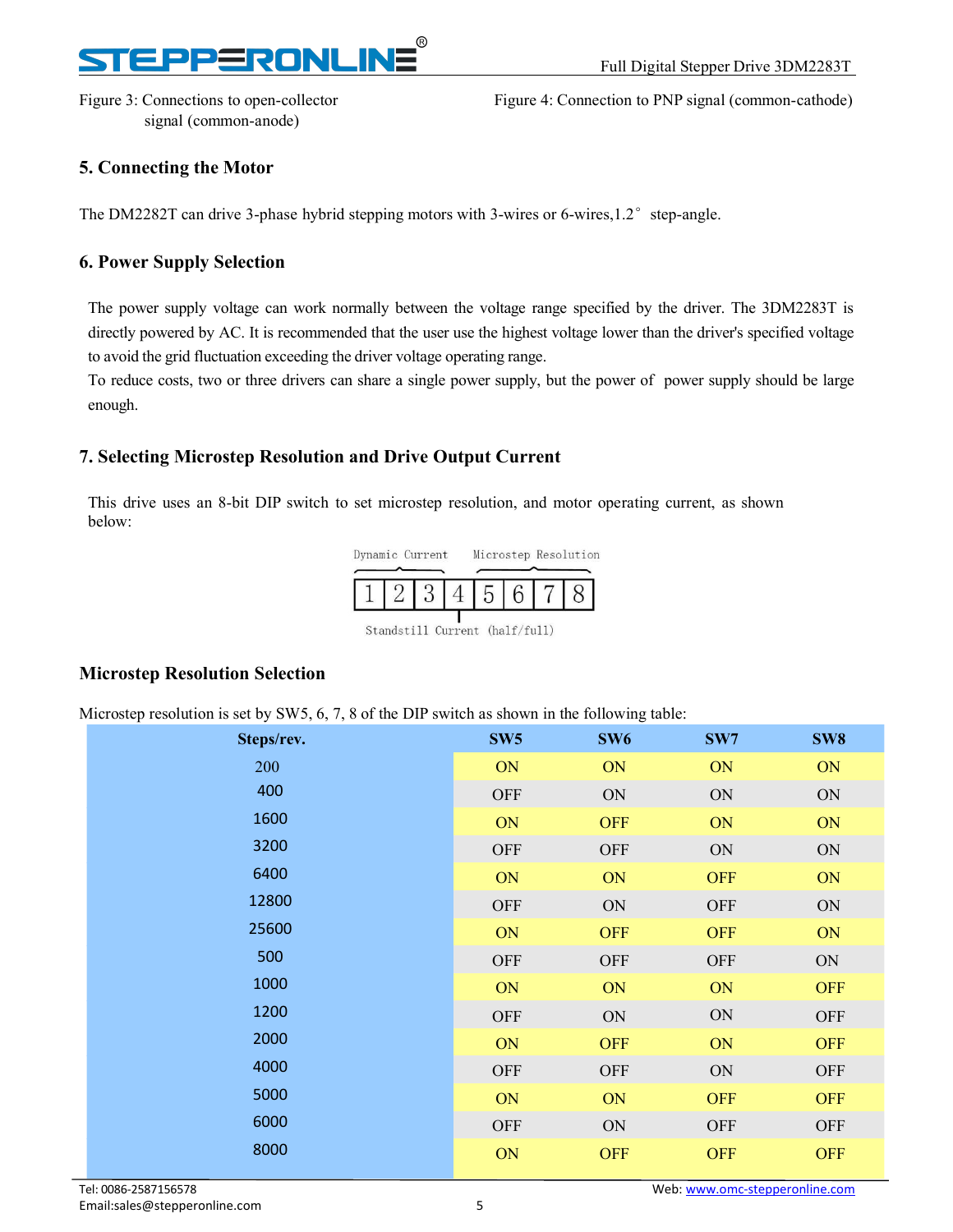## RONI

signal (common-anode)

Figure 3: Connections to open-collector Figure 4: Connection to PNP signal (common-cathode)

### <span id="page-7-0"></span>**5. Connecting the Motor**

The DM2282T can drive 3-phase hybrid stepping motors with 3-wires or 6-wires,1.2 $\degree$  step-angle.

### <span id="page-7-1"></span>**6. Power Supply Selection**

The power supply voltage can work normally between the voltage range specified by the driver. The 3DM2283T is directly powered by AC. It is recommended that the user use the highest voltage lower than the driver's specified voltage to avoid the grid fluctuation exceeding the driver voltage operating range.

To reduce costs, two or three drivers can share a single power supply, but the power of power supply should be large enough.

### <span id="page-7-2"></span>**7. Selecting Microstep Resolution and Drive Output Current**

This drive uses an 8-bit DIP switch to set microstep resolution, and motor operating current, as shown below:



|--|--|--|--|--|--|--|--|--|

Standstill Current (half/full)

### <span id="page-7-3"></span>**Microstep Resolution Selection**

Microstep resolution is set by SW5, 6, 7, 8 of the DIP switch as shown in the following table:

| л.<br>$\sim$ $\sim$ |                 | ັ               |               |            |
|---------------------|-----------------|-----------------|---------------|------------|
| Steps/rev.          | SW <sub>5</sub> | SW <sub>6</sub> | SW7           | SW8        |
| 200                 | ON              | ON              | ON            | ON         |
| 400                 | <b>OFF</b>      | ON              | $\mbox{ON}$   | ON         |
| 1600                | ON              | <b>OFF</b>      | ON            | ON         |
| 3200                | <b>OFF</b>      | OFF             | ON            | ON         |
| 6400                | ON              | ON              | <b>OFF</b>    | ON         |
| 12800               | <b>OFF</b>      | ON              | <b>OFF</b>    | ON         |
| 25600               | ON              | <b>OFF</b>      | <b>OFF</b>    | ON         |
| 500                 | <b>OFF</b>      | <b>OFF</b>      | <b>OFF</b>    | $\rm ON$   |
| 1000                | ON              | ON              | ON            | <b>OFF</b> |
| 1200                | <b>OFF</b>      | $\mbox{ON}$     | ON            | OFF        |
| 2000                | ON              | <b>OFF</b>      | ON            | <b>OFF</b> |
| 4000                | <b>OFF</b>      | <b>OFF</b>      | $\mathbf{ON}$ | OFF        |
| 5000                | ON              | ON              | <b>OFF</b>    | <b>OFF</b> |
| 6000                | <b>OFF</b>      | ON              | <b>OFF</b>    | OFF        |
| 8000                | ON              | <b>OFF</b>      | <b>OFF</b>    | <b>OFF</b> |
|                     |                 |                 |               |            |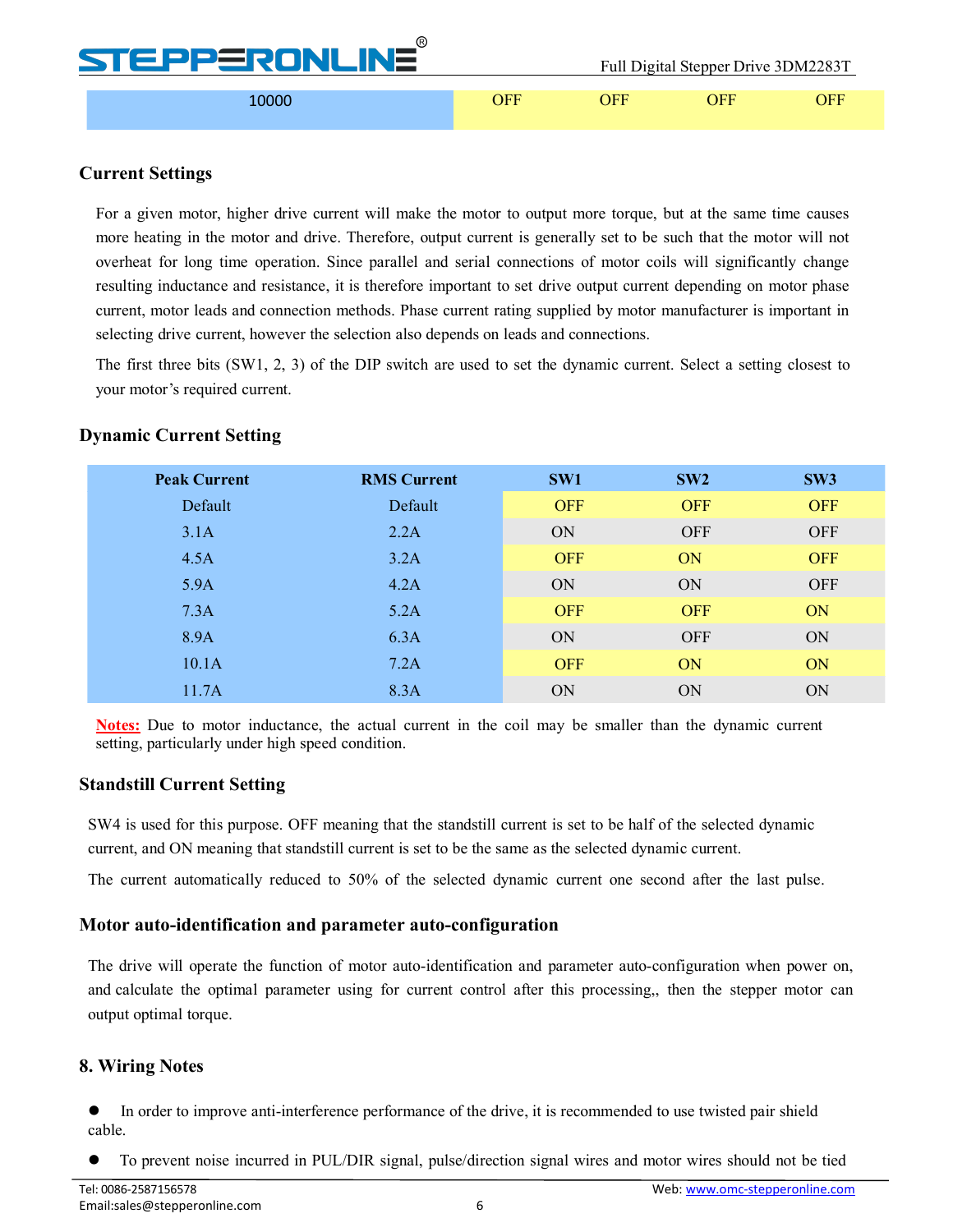| v v<br><b>STEPPERONLINE</b> |     |     | Full Digital Stepper Drive 3DM2283T |     |
|-----------------------------|-----|-----|-------------------------------------|-----|
| ,0000                       | )FF | )FF | ∩FF                                 | )FF |

 $\bigcap$ 

### <span id="page-8-0"></span>**Current Settings**

For a given motor, higher drive current will make the motor to output more torque, but at the same time causes more heating in the motor and drive. Therefore, output current is generally set to be such that the motor will not overheat for long time operation. Since parallel and serial connections of motor coils will significantly change resulting inductance and resistance, it is therefore important to set drive output current depending on motor phase current, motor leads and connection methods. Phase current rating supplied by motor manufacturer is important in selecting drive current, however the selection also depends on leads and connections.

The first three bits (SW1, 2, 3) of the DIP switch are used to set the dynamic current. Select a setting closest to your motor's required current.

### <span id="page-8-1"></span>**Dynamic Current Setting**

| <b>Peak Current</b> | <b>RMS Current</b> | SW1        | SW2        | SW <sub>3</sub> |
|---------------------|--------------------|------------|------------|-----------------|
| Default             | Default            | <b>OFF</b> | <b>OFF</b> | <b>OFF</b>      |
| 3.1A                | 2.2A               | ON         | <b>OFF</b> | <b>OFF</b>      |
| 4.5A                | 3.2A               | <b>OFF</b> | ON         | <b>OFF</b>      |
| 5.9A                | 4.2A               | ON         | ON         | <b>OFF</b>      |
| 7.3A                | 5.2A               | <b>OFF</b> | <b>OFF</b> | ON              |
| 8.9A                | 6.3A               | ON         | <b>OFF</b> | ON              |
| 10.1A               | 7.2A               | <b>OFF</b> | ON         | ON              |
| 11.7A               | 8.3A               | ON         | ON         | ON              |

**Notes:** Due to motor inductance, the actual current in the coil may be smaller than the dynamic current setting, particularly under high speed condition.

### <span id="page-8-2"></span>**Standstill Current Setting**

SW4 is used for this purpose. OFF meaning that the standstill current is set to be half of the selected dynamic current, and ON meaning that standstill current is set to be the same as the selected dynamic current.

The current automatically reduced to 50% of the selected dynamic current one second after the last pulse.

#### <span id="page-8-3"></span>**Motor auto-identification and parameter auto-configuration**

The drive will operate the function of motor auto-identification and parameter auto-configuration when power on, and calculate the optimal parameter using for current control after this processing,, then the stepper motor can output optimal torque.

### <span id="page-8-4"></span>**8. Wiring Notes**

 In order to improve anti-interference performance of the drive, it is recommended to use twisted pair shield cable.

To prevent noise incurred in PUL/DIR signal, pulse/direction signal wires and motor wires should not be tied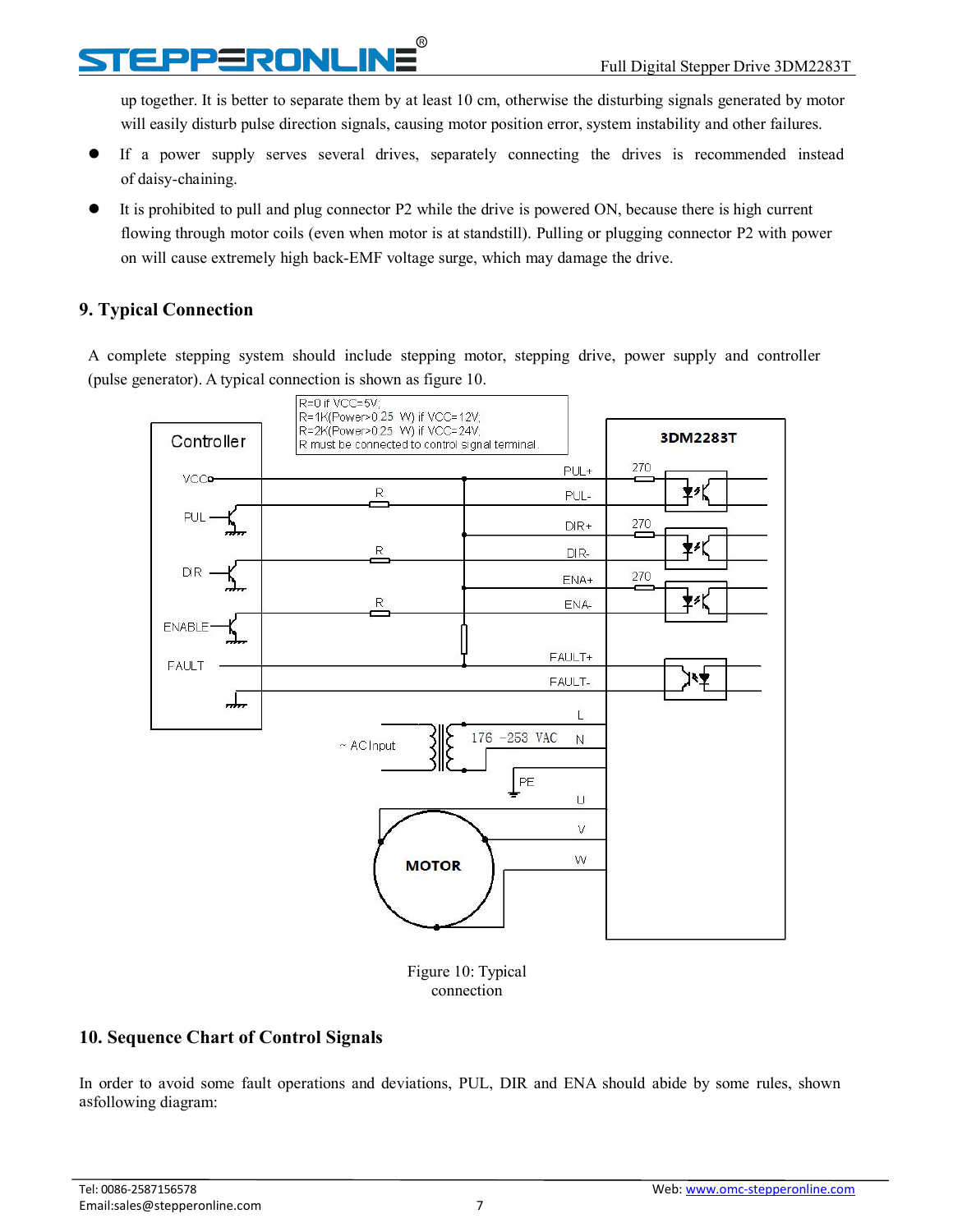## **PPERONLINE**

up together. It is better to separate them by at least 10 cm, otherwise the disturbing signals generated by motor will easily disturb pulse direction signals, causing motor position error, system instability and other failures.

- If a power supply serves several drives, separately connecting the drives is recommended instead of daisy-chaining.
- It is prohibited to pull and plug connector P2 while the drive is powered ON, because there is high current flowing through motor coils (even when motor is at standstill). Pulling or plugging connector P2 with power on will cause extremely high back-EMF voltage surge, which may damage the drive.

## <span id="page-9-0"></span>**9. Typical Connection**

A complete stepping system should include stepping motor, stepping drive, power supply and controller (pulse generator). A typical connection is shown as figure 10.



Figure 10: Typical connection

## <span id="page-9-1"></span>**10. Sequence Chart of Control Signals**

In order to avoid some fault operations and deviations, PUL, DIR and ENA should abide by some rules, shown asfollowing diagram: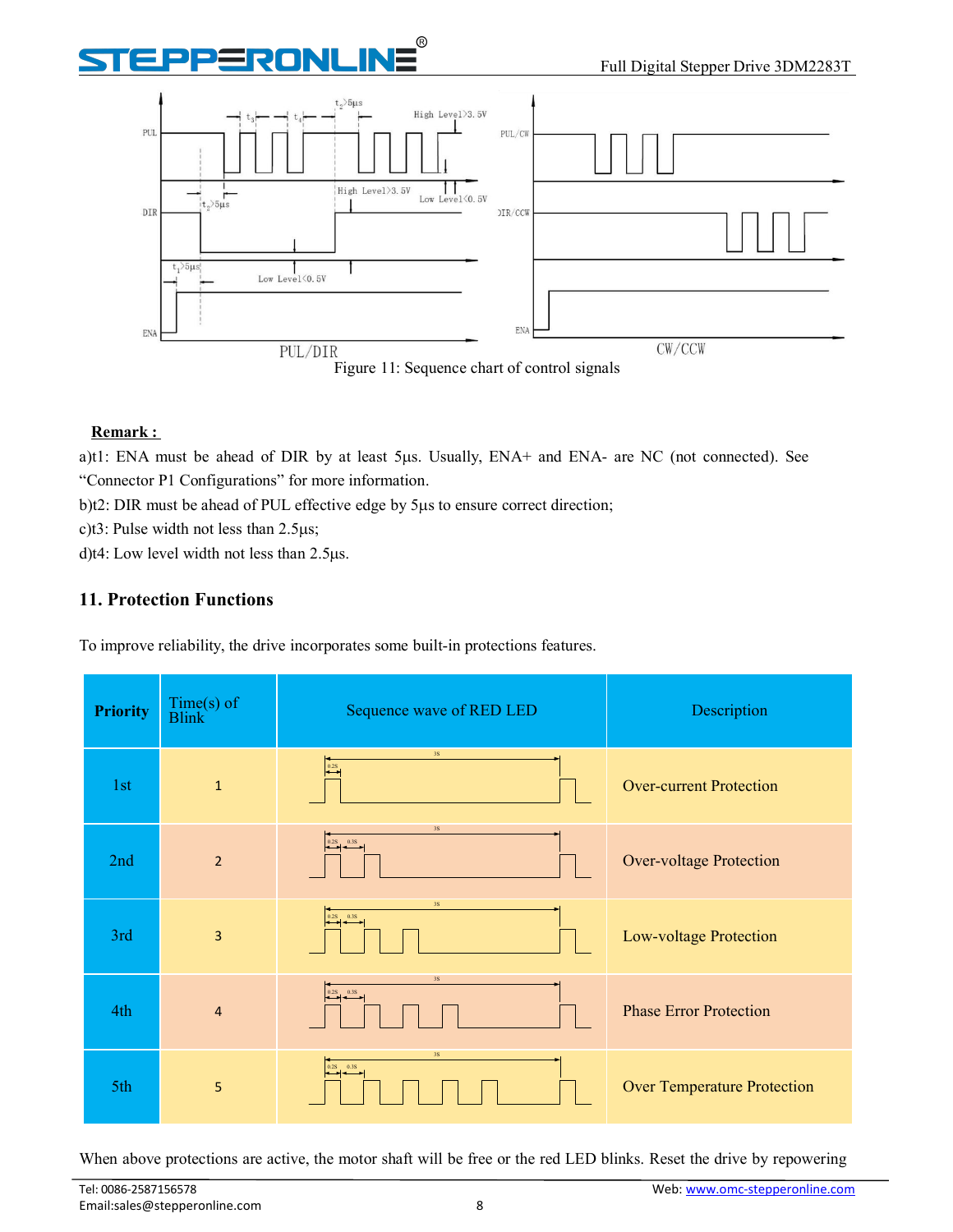# RONLIN



Figure 11: Sequence chart of control signals

#### **Remark :**

a)t1: ENA must be ahead of DIR by at least 5µs. Usually, ENA+ and ENA- are NC (not connected). See "Connector P1 Configurations" for more information.

 $b$ )t2: DIR must be ahead of PUL effective edge by  $5\mu s$  to ensure correct direction;

c)t3: Pulse width not less than  $2.5\mu s$ ;

d)t4: Low level width not less than  $2.5\mu s$ .

### <span id="page-10-0"></span>**11. Protection Functions**

To improve reliability, the drive incorporates some built-in protections features.

| <b>Priority</b> | Time(s) of<br>Blink | Sequence wave of RED LED                                                   | Description                        |
|-----------------|---------------------|----------------------------------------------------------------------------|------------------------------------|
| 1st             | $1\,$               | 3S<br>$\overline{\phantom{0}0.25}$                                         | <b>Over-current Protection</b>     |
| 2nd             | $\overline{2}$      | 3S<br>$\begin{array}{ c c c }\n\hline\n0.2S & 0.3S \\ \hline\n\end{array}$ | <b>Over-voltage Protection</b>     |
| 3rd             | $\overline{3}$      | 3S<br>$\begin{array}{ c c }\n\hline\n0.2S & 0.3S\n\end{array}$             | Low-voltage Protection             |
| 4th             | $\overline{4}$      | 3S<br>$\begin{array}{ c c }\n\hline\n0.2S & 0.3S \\ \hline\n\end{array}$   | <b>Phase Error Protection</b>      |
| 5th             | $\overline{5}$      | $3S$<br>$\begin{array}{ c c }\n\hline\n0.2S & 0.3S \\ \hline\n\end{array}$ | <b>Over Temperature Protection</b> |

When above protections are active, the motor shaft will be free or the red LED blinks. Reset the drive by repowering